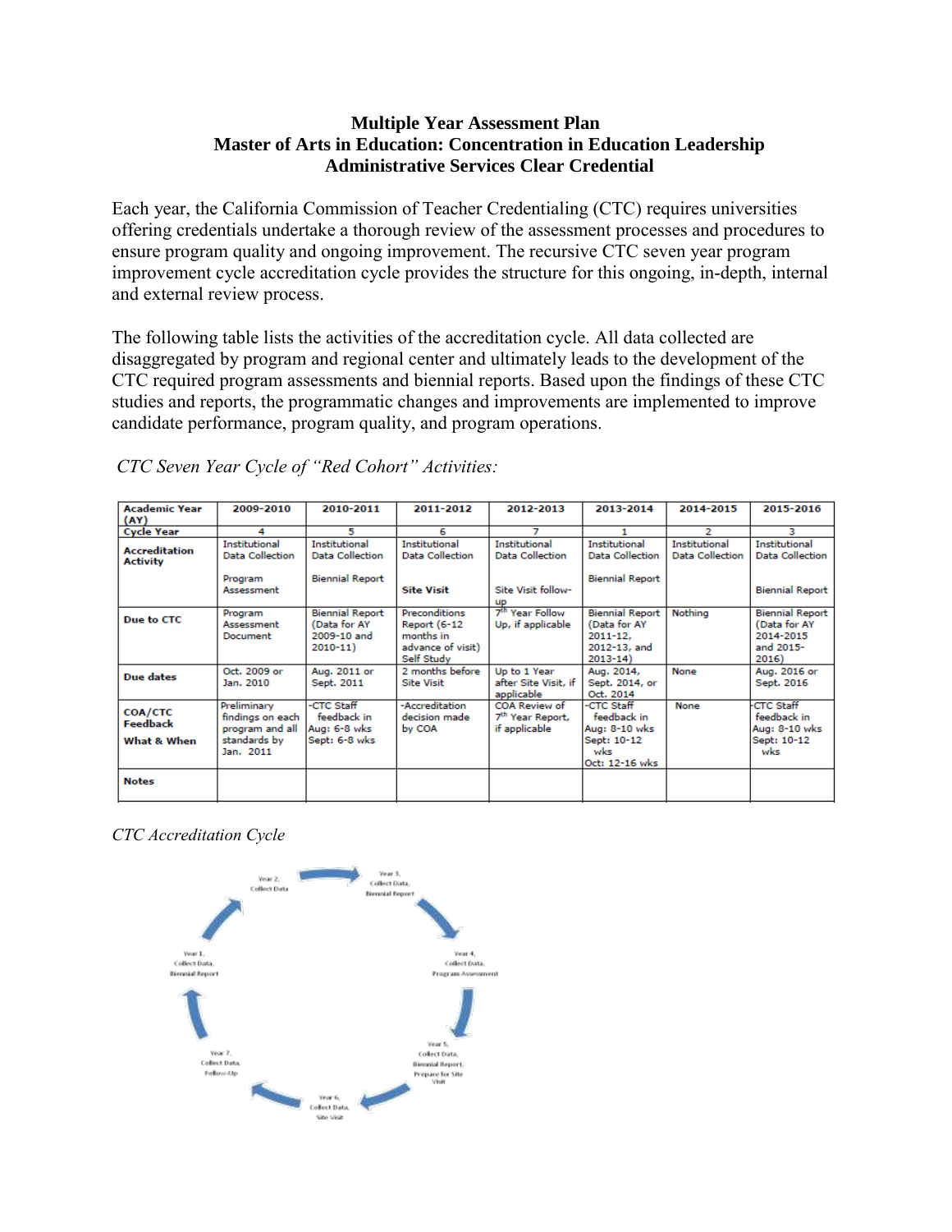## **Multiple Year Assessment Plan Master of Arts in Education: Concentration in Education Leadership Administrative Services Clear Credential**

Each year, the California Commission of Teacher Credentialing (CTC) requires universities offering credentials undertake a thorough review of the assessment processes and procedures to ensure program quality and ongoing improvement. The recursive CTC seven year program improvement cycle accreditation cycle provides the structure for this ongoing, in-depth, internal and external review process.

The following table lists the activities of the accreditation cycle. All data collected are disaggregated by program and regional center and ultimately leads to the development of the CTC required program assessments and biennial reports. Based upon the findings of these CTC studies and reports, the programmatic changes and improvements are implemented to improve candidate performance, program quality, and program operations.

| <b>Academic Year</b><br>(AY)              | 2009-2010                                                                       | 2010-2011                                                             | 2011-2012                                                                            | 2012-2013                                                      | 2013-2014                                                                            | 2014-2015                               | 2015-2016                                                                 |
|-------------------------------------------|---------------------------------------------------------------------------------|-----------------------------------------------------------------------|--------------------------------------------------------------------------------------|----------------------------------------------------------------|--------------------------------------------------------------------------------------|-----------------------------------------|---------------------------------------------------------------------------|
| <b>Cycle Year</b>                         | 4                                                                               | 5.                                                                    | 6                                                                                    |                                                                |                                                                                      | 2                                       | з                                                                         |
| <b>Accreditation</b><br><b>Activity</b>   | Institutional<br>Data Collection                                                | Institutional<br>Data Collection                                      | Institutional<br>Data Collection                                                     | Institutional<br>Data Collection                               | Institutional<br><b>Data Collection</b>                                              | Institutional<br><b>Data Collection</b> | Institutional<br><b>Data Collection</b>                                   |
|                                           | Program<br>Assessment                                                           | <b>Biennial Report</b>                                                | <b>Site Visit</b>                                                                    | Site Visit follow-<br><b>UD</b>                                | <b>Biennial Report</b>                                                               |                                         | <b>Biennial Report</b>                                                    |
| Due to CTC                                | Program<br>Assessment<br>Document                                               | <b>Biennial Report</b><br>(Data for AY<br>2009-10 and<br>$2010 - 11)$ | Preconditions<br><b>Report (6-12</b><br>months in<br>advance of visit)<br>Self Study | 7 <sup>th</sup> Year Follow<br>Up, if applicable               | <b>Biennial Report</b><br>(Data for AY<br>$2011 - 12$<br>2012-13, and<br>$2013 - 14$ | Nothina                                 | <b>Biennial Report</b><br>(Data for AY<br>2014-2015<br>and 2015-<br>2016) |
| Due dates                                 | Oct. 2009 or<br>Jan. 2010                                                       | Aug. 2011 or<br>Sept. 2011                                            | 2 months before<br><b>Site Visit</b>                                                 | Up to 1 Year<br>after Site Visit, if<br>applicable             | Aug. 2014,<br>Sept. 2014, or<br>Oct. 2014                                            | None                                    | Aug. 2016 or<br>Sept. 2016                                                |
| <b>COA/CTC</b><br>Feedback<br>What & When | Preliminary<br>findings on each<br>program and all<br>standards by<br>Jan. 2011 | -CTC Staff<br>feedback in<br>Aug: 6-8 wks<br>Sept: 6-8 wks            | -Accreditation<br>decision made<br>by COA                                            | COA Review of<br>7 <sup>th</sup> Year Report,<br>if applicable | -CTC Staff<br>feedback in<br>Aug: 8-10 wks<br>Sept: 10-12<br>wks<br>Oct: 12-16 wks   | None                                    | <b>CTC Staff</b><br>feedback in<br>Aug: 8-10 wks<br>Sept: 10-12<br>wks    |
| <b>Notes</b>                              |                                                                                 |                                                                       |                                                                                      |                                                                |                                                                                      |                                         |                                                                           |

*CTC Seven Year Cycle of "Red Cohort" Activities:*

*CTC Accreditation Cycle*

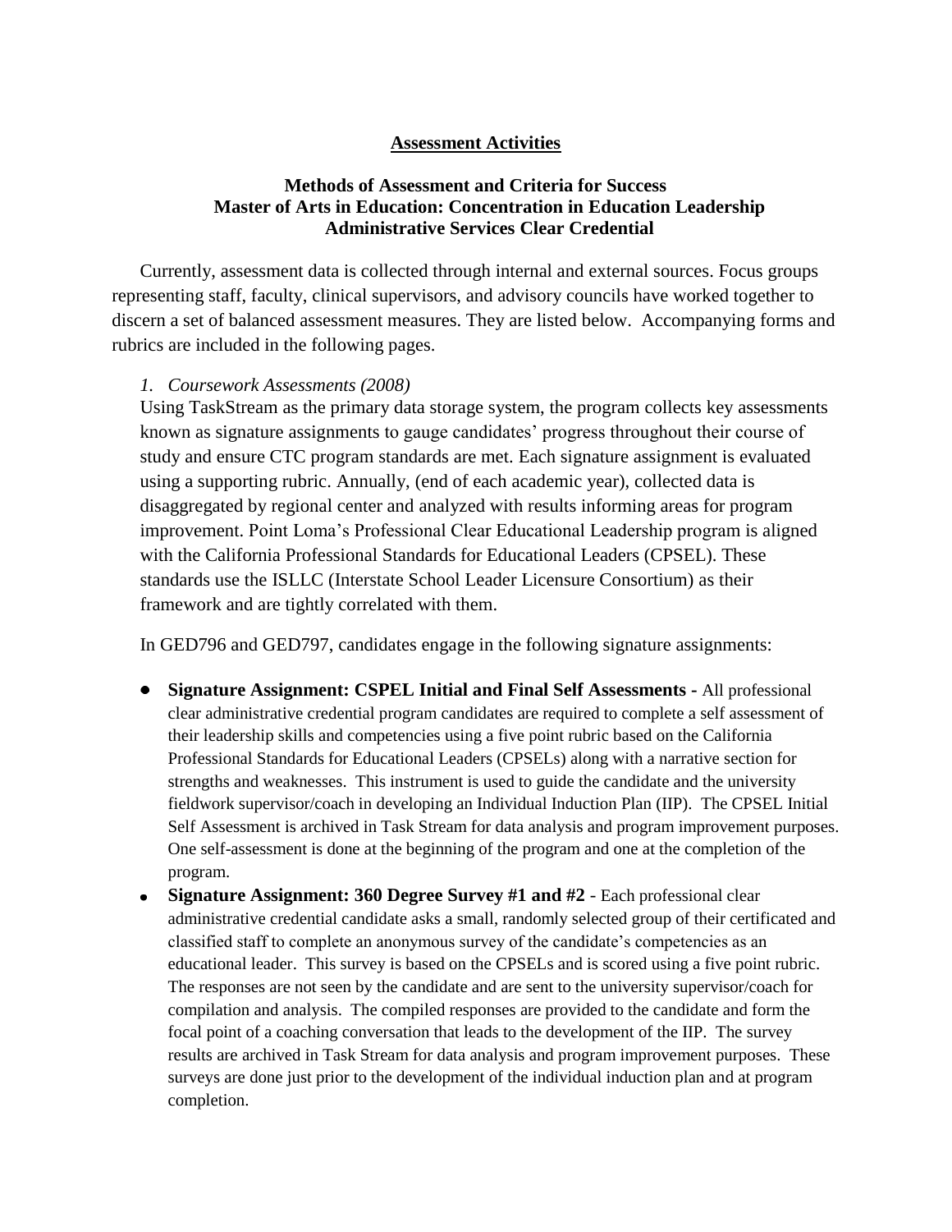#### **Assessment Activities**

## **Methods of Assessment and Criteria for Success Master of Arts in Education: Concentration in Education Leadership Administrative Services Clear Credential**

Currently, assessment data is collected through internal and external sources. Focus groups representing staff, faculty, clinical supervisors, and advisory councils have worked together to discern a set of balanced assessment measures. They are listed below. Accompanying forms and rubrics are included in the following pages.

#### *1. Coursework Assessments (2008)*

Using TaskStream as the primary data storage system, the program collects key assessments known as signature assignments to gauge candidates' progress throughout their course of study and ensure CTC program standards are met. Each signature assignment is evaluated using a supporting rubric. Annually, (end of each academic year), collected data is disaggregated by regional center and analyzed with results informing areas for program improvement. Point Loma's Professional Clear Educational Leadership program is aligned with the California Professional Standards for Educational Leaders (CPSEL). These standards use the ISLLC (Interstate School Leader Licensure Consortium) as their framework and are tightly correlated with them.

In GED796 and GED797, candidates engage in the following signature assignments:

- **Signature Assignment: CSPEL Initial and Final Self Assessments -** All professional clear administrative credential program candidates are required to complete a self assessment of their leadership skills and competencies using a five point rubric based on the California Professional Standards for Educational Leaders (CPSELs) along with a narrative section for strengths and weaknesses. This instrument is used to guide the candidate and the university fieldwork supervisor/coach in developing an Individual Induction Plan (IIP). The CPSEL Initial Self Assessment is archived in Task Stream for data analysis and program improvement purposes. One self-assessment is done at the beginning of the program and one at the completion of the program.
- **Signature Assignment: 360 Degree Survey #1 and #2** Each professional clear administrative credential candidate asks a small, randomly selected group of their certificated and classified staff to complete an anonymous survey of the candidate's competencies as an educational leader. This survey is based on the CPSELs and is scored using a five point rubric. The responses are not seen by the candidate and are sent to the university supervisor/coach for compilation and analysis. The compiled responses are provided to the candidate and form the focal point of a coaching conversation that leads to the development of the IIP. The survey results are archived in Task Stream for data analysis and program improvement purposes. These surveys are done just prior to the development of the individual induction plan and at program completion.